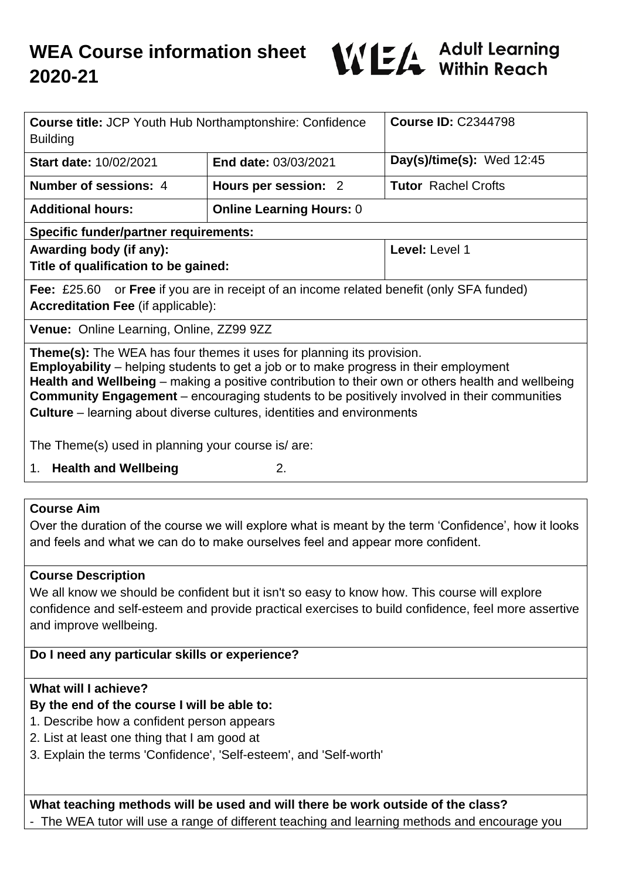

| <b>Course title: JCP Youth Hub Northamptonshire: Confidence</b><br><b>Building</b>                                                                                                                                                                                                                                                                                                                                                                                                                                           |                                 | <b>Course ID: C2344798</b> |
|------------------------------------------------------------------------------------------------------------------------------------------------------------------------------------------------------------------------------------------------------------------------------------------------------------------------------------------------------------------------------------------------------------------------------------------------------------------------------------------------------------------------------|---------------------------------|----------------------------|
| Start date: 10/02/2021                                                                                                                                                                                                                                                                                                                                                                                                                                                                                                       | End date: 03/03/2021            | Day(s)/time(s): Wed 12:45  |
| Number of sessions: 4                                                                                                                                                                                                                                                                                                                                                                                                                                                                                                        | Hours per session: 2            | <b>Tutor Rachel Crofts</b> |
| <b>Additional hours:</b>                                                                                                                                                                                                                                                                                                                                                                                                                                                                                                     | <b>Online Learning Hours: 0</b> |                            |
| <b>Specific funder/partner requirements:</b>                                                                                                                                                                                                                                                                                                                                                                                                                                                                                 |                                 |                            |
| Awarding body (if any):<br>Title of qualification to be gained:                                                                                                                                                                                                                                                                                                                                                                                                                                                              |                                 | Level: Level 1             |
| Fee: £25.60 or Free if you are in receipt of an income related benefit (only SFA funded)<br><b>Accreditation Fee (if applicable):</b>                                                                                                                                                                                                                                                                                                                                                                                        |                                 |                            |
| Venue: Online Learning, Online, ZZ99 9ZZ                                                                                                                                                                                                                                                                                                                                                                                                                                                                                     |                                 |                            |
| <b>Theme(s):</b> The WEA has four themes it uses for planning its provision.<br><b>Employability</b> – helping students to get a job or to make progress in their employment<br>Health and Wellbeing – making a positive contribution to their own or others health and wellbeing<br><b>Community Engagement</b> – encouraging students to be positively involved in their communities<br><b>Culture</b> – learning about diverse cultures, identities and environments<br>The Theme(s) used in planning your course is/are: |                                 |                            |
| 1. Health and Wellbeing<br>2.                                                                                                                                                                                                                                                                                                                                                                                                                                                                                                |                                 |                            |
|                                                                                                                                                                                                                                                                                                                                                                                                                                                                                                                              |                                 |                            |
| <b>Course Aim</b><br>Over the duration of the course we will explore what is meant by the term 'Confidence', how it looks<br>and feels and what we can do to make ourselves feel and appear more confident.                                                                                                                                                                                                                                                                                                                  |                                 |                            |
| <b>Course Description</b><br>We all know we should be confident but it isn't so easy to know how. This course will explore<br>confidence and self-esteem and provide practical exercises to build confidence, feel more assertive<br>and improve wellbeing.                                                                                                                                                                                                                                                                  |                                 |                            |

**Do I need any particular skills or experience?**

# **What will I achieve?**

### **By the end of the course I will be able to:**

- 1. Describe how a confident person appears
- 2. List at least one thing that I am good at
- 3. Explain the terms 'Confidence', 'Self-esteem', and 'Self-worth'

**What teaching methods will be used and will there be work outside of the class?** - The WEA tutor will use a range of different teaching and learning methods and encourage you